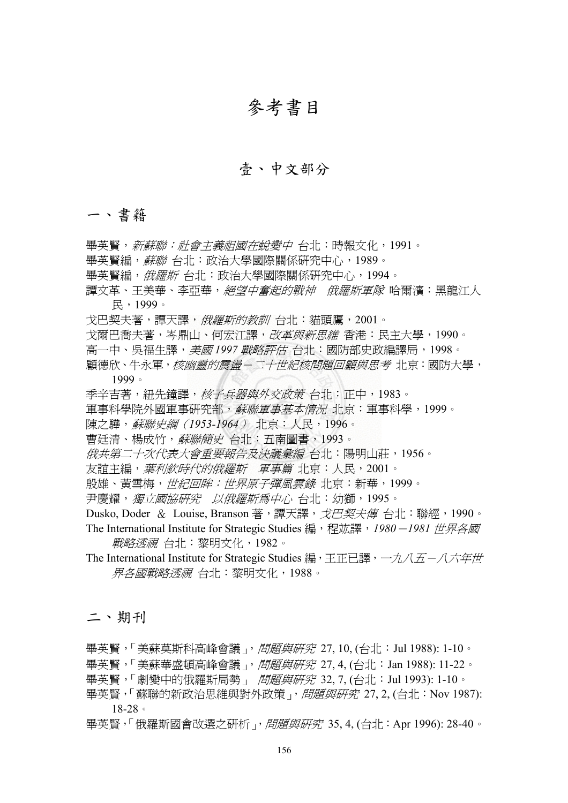# 參考書目

### 壹、中文部分

#### 一、書籍

畢英賢,新蘇聯:社會主義祖國在蛻變中 台北:時報文化,1991。 畢英賢編, 蘇聯 台北:政治大學國際關係研究中心, 1989。 畢英賢編, 俄羅斯 台北: 政治大學國際關係研究中心, 1994。 譚文革、王美華、李亞華,絕望中奮起的戰神俄羅斯軍隊 哈爾濱:黑龍江人 民,1999。 戈巴契夫著,譚天譯,*俄羅斯的教訓* 台北:貓頭鷹, 2001。 戈爾巴喬夫著,岑鼎山、何宏江譯,*改革與新思維* 香港:民主大學,1990。 高一中、吳福生譯,美國 *1997* 戰略評估 台北:國防部史政編譯局,1998。 顧德欣、牛永軍,核幽靈的震盪-二十世紀核問題回顧與思考 北京:國防大學, 1999。 季辛吉著, 紐先鐘譯, 核子兵器與外交政策 台北: 正中, 1983。 軍事科學院外國軍事研究部,*蘇聯軍事基本情況* 北京:軍事科學,1999。 陳之驊,蘇聯史綱(*1953-1964*) 北京:人民,1996。 曹廷清、楊成竹,蘇聯簡史 台北:五南圖書,1993。 俄共第二十次代表大會重要報告及決議彙編 台北:陽明山莊,1956。 友誼主編,葉利欽時代的俄羅斯軍事篇 北京:人民,2001。 殷雄、黃雪梅,世紀回眸:世界原子彈風雲錄 北京:新華,1999。 尹慶耀,獨立國協研究以俄羅斯為中心 台北:幼獅,1995。 Dusko, Doder & Louise, Branson 著, 譚天譯, *戈巴契夫傳* 台北: 聯經, 1990。 The International Institute for Strategic Studies 編,程竑譯,*1980*-*1981* 世界各國 戰略透視 台北:黎明文化,1982。 The International Institute for Strategic Studies 編,王正已譯, 一九八五一八六年世 界各國戰略透視 台北:黎明文化,1988。 二、期刊

畢英賢,「美蘇莫斯科高峰會議」, *問題與研究* 27, 10, (台北: Jul 1988): 1-10。

畢英賢,「美蘇華盛頓高峰會議」, 問題與研究 27, 4, (台北: Jan 1988): 11-22。

畢英賢,「劇變中的俄羅斯局勢」 問題與研究 32, 7, (台北: Jul 1993): 1-10。

畢英腎,「蘇聯的新政治思維與對外政策」,問題與研究 27, 2, (台北:Nov 1987): 18-28。

畢英賢,「俄羅斯國會改選之研析」, 問題與研究 35, 4, (台北: Apr 1996): 28-40。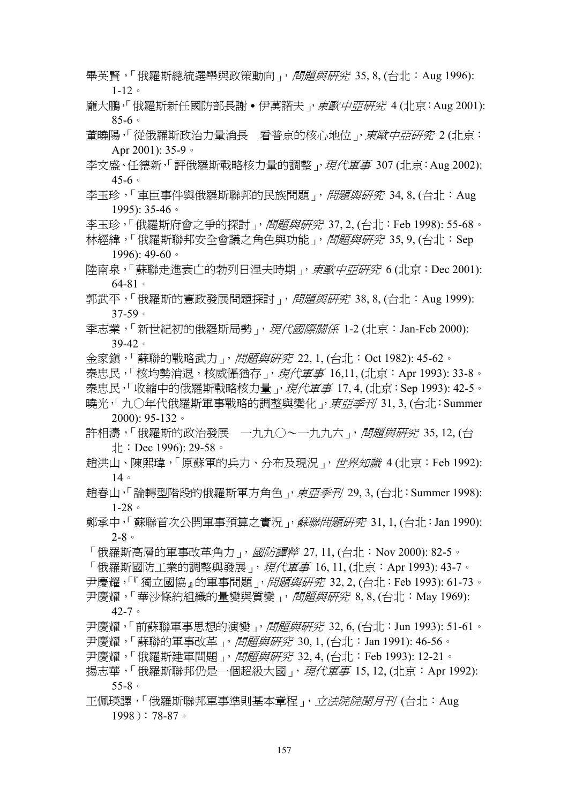- 畢英賢,「俄羅斯總統選舉與政策動向」, *問題與研究* 35, 8, (台北:Aug 1996): 1-12。
- 龐大鵬,「俄羅斯新任國防部長謝 伊萬諾夫 ,*東歐中亞研究* 4 (北京:Aug 2001): 85-6。
- 董曉陽,「從俄羅斯政治力量消長 看普京的核心地位」, 東歐中亞研究 2 (北京: Apr 2001): 35-9。
- 李文盛、任德新,「評俄羅斯戰略核力量的調整」, 現代軍事 307 (北京: Aug 2002): 45-6。
- 李玉珍,「車臣事件與俄羅斯聯邦的民族問題」, 問題與研究 34, 8, (台北: Aug 1995): 35-46。
- 李玉珍,「俄羅斯府會之爭的探討」, 問題與研究 37, 2, (台北: Feb 1998): 55-68。
- 林經緯,「俄羅斯聯邦安全會議之角色與功能」, 問題與研究 35, 9, (台北: Sep 1996): 49-60。
- 陸南泉,「蘇聯走淮衰亡的勃列日涅夫時期」, 東歐中亞研究 6 (北京: Dec 2001): 64-81。
- 郭武平,「俄羅斯的憲政發展問題探討」, 問題與研究 38.8. (台北: Aug 1999): 37-59。
- 季志業,「新世紀初的俄羅斯局勢」, *現代國際關係* 1-2 (北京: Jan-Feb 2000): 39-42。
- 金家鎮,「蘇聯的戰略武力」, *問題與研究* 22, 1, (台北: Oct 1982): 45-62。
- 秦忠民,「核均勢消退,核威懾猶存」,*現代軍事* 16,11, (北京: Apr 1993): 33-8。 秦忠民,「收縮中的俄羅斯戰略核力量」, 現代軍事 17, 4, (北京: Sep 1993): 42-5。 曉光,「九〇年代俄羅斯軍事戰略的調整與變化」, 東亞季刊 31, 3, (台北: Summer 2000): 95-132。
- 許相濤,「俄羅斯的政治發展 一九九〇~一九九六」, 問題與研究 35,12, (台 北: Dec 1996): 29-58。
- 趙洪山、陳熙瑋,「原蘇軍的兵力、分布及現況」, 世界知識 4 (北京:Feb 1992): 14。
- 趙春山,「論轉型階段的俄羅斯軍方角色」, 東亞季刊 29, 3, (台北: Summer 1998): 1-28。
- 鄭承中,「蘇聯首次公開軍事預算之實況」,*蘇聯問題研究* 31,1,(台北:Jan 1990): 2-8。
- 「俄羅斯高層的軍事改革角力」, *國防譯粹* 27,11, (台北:Nov 2000): 82-5。 「俄羅斯國防工業的調整與發展」, *現代軍事* 16, 11, (北京: Apr 1993): 43-7。 尹慶耀,「『獨立國協』的軍事問題」, 問題與研究 32, 2, (台北: Feb 1993): 61-73。 尹慶耀,「華沙條約組織的量變與質變」, 問題與研究 8,8, (台北: May 1969):
	- 42-7。
- 尹慶耀,「前蘇聯軍事思想的演變」,*問題與研究* 32, 6, (台北:Jun 1993): 51-61。 尹慶耀,「蘇聯的軍事改革」, 問題與研究 30, 1, (台北: Jan 1991): 46-56。
- 尹慶耀,「俄羅斯建軍問題」, 問題與研究 32, 4, (台北:Feb 1993): 12-21。
- 揚志華,「俄羅斯聯邦仍是一個超級大國」, 現代軍事 15, 12, (北京: Apr 1992): 55-8。
- 王佩瑛譯,「俄羅斯聯邦軍事準則基本章程」, *立法院院聞月刊* (台北: Aug) 1998):78-87。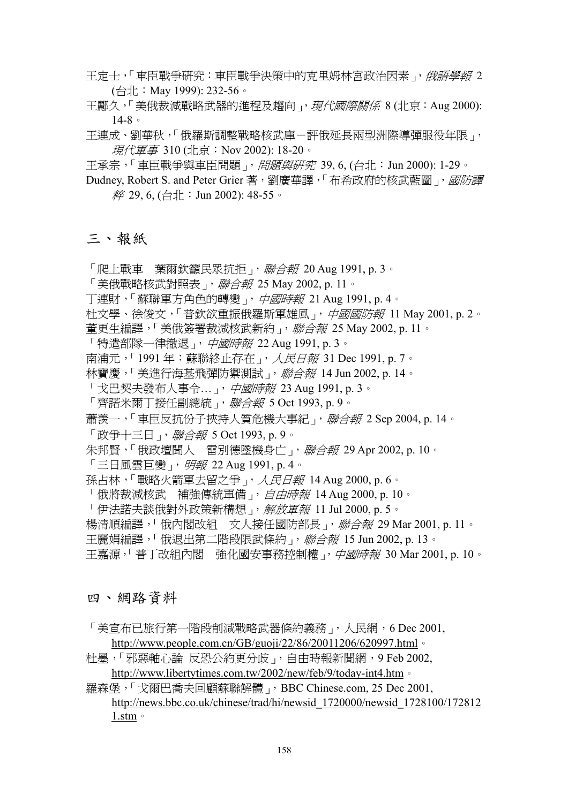- 王定士,「車臣戰爭研究:車臣戰爭決策中的克里姆林宮政治因素」, *俄語學報* 2 (台北:May 1999): 232-56。
- 王酈久,「美俄裁減戰略武器的進程及趨向」, 現代國際關係 8 (北京: Aug 2000): 14-8。
- 王連成、劉華秋,「俄羅斯調整戰略核武庫-評俄延長兩型洲際導彈服役年限」, 現代軍事 310 (北京:Nov 2002): 18-20。
- 王承宗,「車臣戰爭與車臣問題」, 問題與研究 39, 6, (台北: Jun 2000): 1-29。
- Dudney, Robert S. and Peter Grier 著,劉廣華譯,「布希政府的核武藍圖」, 國防譯 粹 29, 6, (台北:Jun 2002): 48-55。

#### 三、報紙

- 「爬上戰車 葉爾欽籲民眾抗拒」, *聯合報* 20 Aug 1991, p. 3。
- 「美俄戰略核武對照表」, 聯合報 25 May 2002, p. 11。
- 丁連財,「蘇聯軍方角色的轉變」, 中國時報 21 Aug 1991, p. 4。
- 杜文學、徐俊文,「普欽欲重振俄羅斯軍雄風」,中國國防報 11 May 2001, p. 2。
- 董更生編譯,「美俄簽署裁減核武新約」, 聯合*報* 25 May 2002, p. 11。
- 「特遣部隊一律撤退」,*中國時報* 22 Aug 1991, p. 3。
- 南浦元,「1991年:蘇聯終止存在」, 人民日報 31 Dec 1991, p. 7。
- 林寶慶,「美進行海基飛彈防禦測試」, *聯合報* 14 Jun 2002, p. 14。
- 「戈巴契夫發布人事令…」,*中國時報* 23 Aug 1991, p. 3。
- 「齊諾米爾丁接任副總統」, *聯合報* 5 Oct 1993, p. 9。
- 蕭羨一,「車臣反抗份子挾持人質危機大事紀」, 聯合報 2 Sep 2004, p. 14。
- 「政爭十三日」, *聯合報* 5 Oct 1993, p. 9。
- 朱邦賢,「俄政壇聞人 雷別德墜機身亡」, 聯合報 29 Apr 2002, p. 10。
- 「三日風雲巨變」, 明報 22 Aug 1991, p. 4。
- 孫占林,「戰略火箭軍去留之爭」, 人民日報 14 Aug 2000, p. 6。
- 「俄將裁減核武 補強傳統軍備」, *自由時報* 14 Aug 2000, p. 10。
- 「伊法諾夫談俄對外政策新構想」, 解放軍報 11 Jul 2000, p. 5。
- 楊清順編譯,「俄內閣改組 文人接任國防部長」, *聯合報* 29 Mar 2001, p. 11。
- 王麗娟編譯,「俄退出第二階段限武條約」, 聯合報 15 Jun 2002, p. 13。
- 王嘉源,「普丁改組內閣 強化國安事務控制權」, 中國時報 30 Mar 2001, p. 10。

#### 四、網路資料

- 「美官布已旅行第一階段削減戰略武器條約義務」,人民網,6 Dec 2001, http://www.people.com.cn/GB/guoji/22/86/20011206/620997.html。
- 杜墨,「邪惡軸心論 反恐公約更分歧」,自由時報新聞網,9 Feb 2002, http://www.libertytimes.com.tw/2002/new/feb/9/today-int4.htm。
- 羅森堡,「戈爾巴喬夫回顧蘇聯解體」,BBC Chinese.com, 25 Dec 2001, http://news.bbc.co.uk/chinese/trad/hi/newsid\_1720000/newsid\_1728100/172812 1.stm。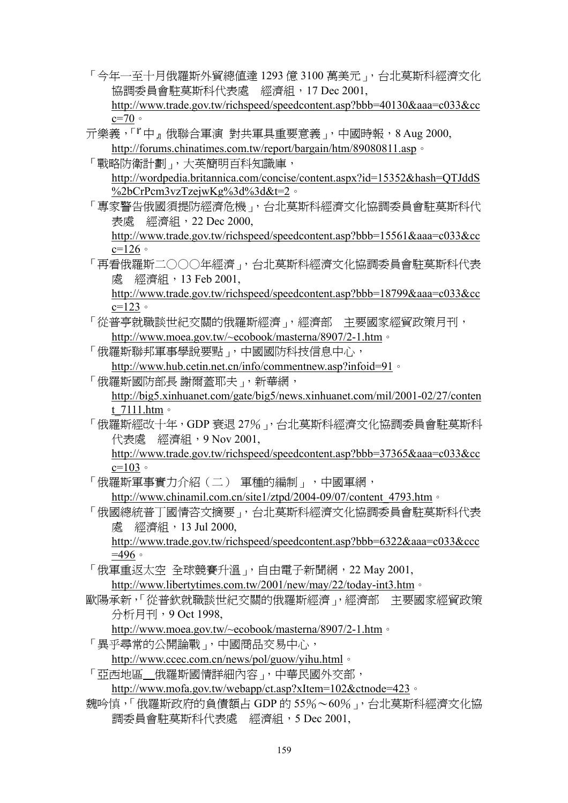- 「今年一至十月俄羅斯外貿總値達 1293 億 3100 萬美元 ,台北莫斯科經濟文化 協調委員會駐莫斯科代表處 經濟組,17 Dec 2001, http://www.trade.gov.tw/richspeed/speedcontent.asp?bbb=40130&aaa=c033&cc  $c=70$
- 亓樂義,「『中』俄聯合軍演 對共軍具重要意義」,中國時報,8 Aug 2000, http://forums.chinatimes.com.tw/report/bargain/htm/89080811.asp。
- 「戰略防衛計劃」,大英簡明百科知識庫, http://wordpedia.britannica.com/concise/content.aspx?id=15352&hash=QTJddS %2bCrPcm3vzTzejwKg%3d%3d&t=2。
- 「專家警告俄國須提防經濟危機」,台北莫斯科經濟文化協調委員會駐莫斯科代 表處 經濟組,22 Dec 2000,

http://www.trade.gov.tw/richspeed/speedcontent.asp?bbb=15561&aaa=c033&cc  $c=126$ 

「再看俄羅斯二○○○年經濟」,台北莫斯科經濟文化協調委員會駐莫斯科代表 處 經濟組,13 Feb 2001,

http://www.trade.gov.tw/richspeed/speedcontent.asp?bbb=18799&aaa=c033&cc  $c=123$ 

- 「從普亭就職談世紀交關的俄羅斯經濟」,經濟部 主要國家經貿政策月刊, http://www.moea.gov.tw/~ecobook/masterna/8907/2-1.htm。
- 「俄羅斯聯邦軍事學說要點」,中國國防科技信息中心,

http://www.hub.cetin.net.cn/info/commentnew.asp?infoid=91。

「俄羅斯國防部長 謝爾蓋耶夫」,新華網,

http://big5.xinhuanet.com/gate/big5/news.xinhuanet.com/mil/2001-02/27/conten t\_7111.htm。

「俄羅斯經改十年,GDP 衰退 27%」,台北莫斯科經濟文化協調委員會駐莫斯科 代表處 經濟組, 9 Nov 2001,

http://www.trade.gov.tw/richspeed/speedcontent.asp?bbb=37365&aaa=c033&cc  $c=103$ 

- 「俄羅斯軍事實力介紹(二) 軍種的編制」,中國軍網, http://www.chinamil.com.cn/site1/ztpd/2004-09/07/content\_4793.htm 。
- 「俄國總統普丁國情咨文摘要」,台北莫斯科經濟文化協調委員會駐莫斯科代表 處 經濟組,13 Jul 2000,

http://www.trade.gov.tw/richspeed/speedcontent.asp?bbb=6322&aaa=c033&ccc  $=496$ 

「俄軍重返太空 全球競賽升溫」,自由電子新聞網,22 May 2001,

http://www.libertytimes.com.tw/2001/new/may/22/today-int3.htm。

歐陽承新,「從普欽就職談世紀交關的俄羅斯經濟」,經濟部 主要國家經貿政策 分析月刊,9 Oct 1998,

http://www.moea.gov.tw/~ecobook/masterna/8907/2-1.htm。

「異乎尋常的公開論戰」,中國商品交易中心,

http://www.ccec.com.cn/news/pol/guow/yihu.html。

「亞西地區 俄羅斯國情詳細內容」,中華民國外交部,

http://www.mofa.gov.tw/webapp/ct.asp?xItem=102&ctnode=423。

魏吟慎,「俄羅斯政府的負債額占 GDP 的 55%~60%」,台北莫斯科經濟文化協 調委員會駐莫斯科代表處 經濟組,5 Dec 2001,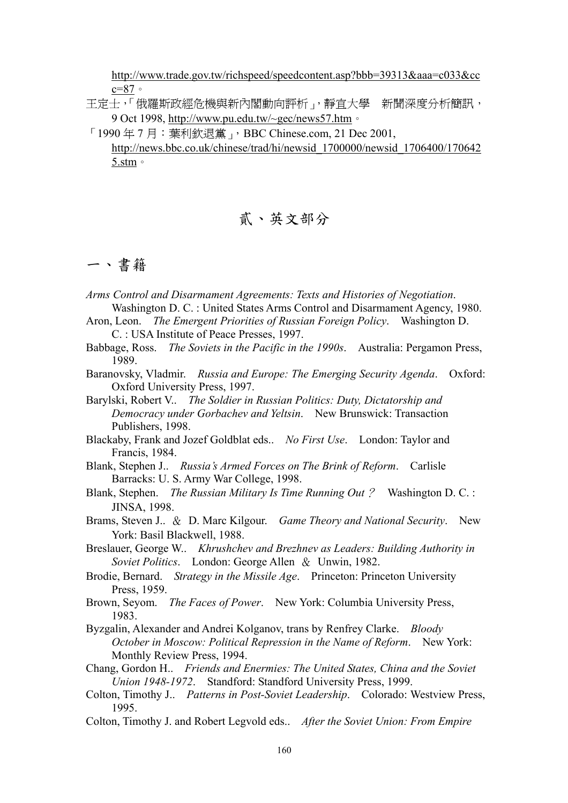http://www.trade.gov.tw/richspeed/speedcontent.asp?bbb=39313&aaa=c033&cc c=87。

- 王定士,「俄羅斯政經危機與新內閣動向評析」,靜宜大學 新聞深度分析簡訊, 9 Oct 1998, http://www.pu.edu.tw/~gec/news57.htm。
- 「1990 年 7 月:葉利欽退黨」,BBC Chinese.com, 21 Dec 2001, http://news.bbc.co.uk/chinese/trad/hi/newsid\_1700000/newsid\_1706400/170642 5.stm。

## 貳、英文部分

## 一、書籍

- *Arms Control and Disarmament Agreements: Texts and Histories of Negotiation*. Washington D. C. : United States Arms Control and Disarmament Agency, 1980.
- Aron, Leon. *The Emergent Priorities of Russian Foreign Policy*. Washington D. C. : USA Institute of Peace Presses, 1997.
- Babbage, Ross. *The Soviets in the Pacific in the 1990s*. Australia: Pergamon Press, 1989.
- Baranovsky, Vladmir. *Russia and Europe: The Emerging Security Agenda*. Oxford: Oxford University Press, 1997.
- Barylski, Robert V.. *The Soldier in Russian Politics: Duty, Dictatorship and Democracy under Gorbachev and Yeltsin*. New Brunswick: Transaction Publishers, 1998.
- Blackaby, Frank and Jozef Goldblat eds.. *No First Use*. London: Taylor and Francis, 1984.
- Blank, Stephen J.. *Russia's Armed Forces on The Brink of Reform*. Carlisle Barracks: U. S. Army War College, 1998.
- Blank, Stephen. *The Russian Military Is Time Running Out*? Washington D. C. : JINSA, 1998.
- Brams, Steven J.. & D. Marc Kilgour. *Game Theory and National Security*. New York: Basil Blackwell, 1988.
- Breslauer, George W.. *Khrushchev and Brezhnev as Leaders: Building Authority in Soviet Politics*. London: George Allen & Unwin, 1982.
- Brodie, Bernard. *Strategy in the Missile Age*. Princeton: Princeton University Press, 1959.
- Brown, Seyom. *The Faces of Power*. New York: Columbia University Press, 1983.
- Byzgalin, Alexander and Andrei Kolganov, trans by Renfrey Clarke. *Bloody October in Moscow: Political Repression in the Name of Reform*. New York: Monthly Review Press, 1994.
- Chang, Gordon H.. *Friends and Enermies: The United States, China and the Soviet Union 1948-1972*. Standford: Standford University Press, 1999.
- Colton, Timothy J.. *Patterns in Post-Soviet Leadership*. Colorado: Westview Press, 1995.
- Colton, Timothy J. and Robert Legvold eds.. *After the Soviet Union: From Empire*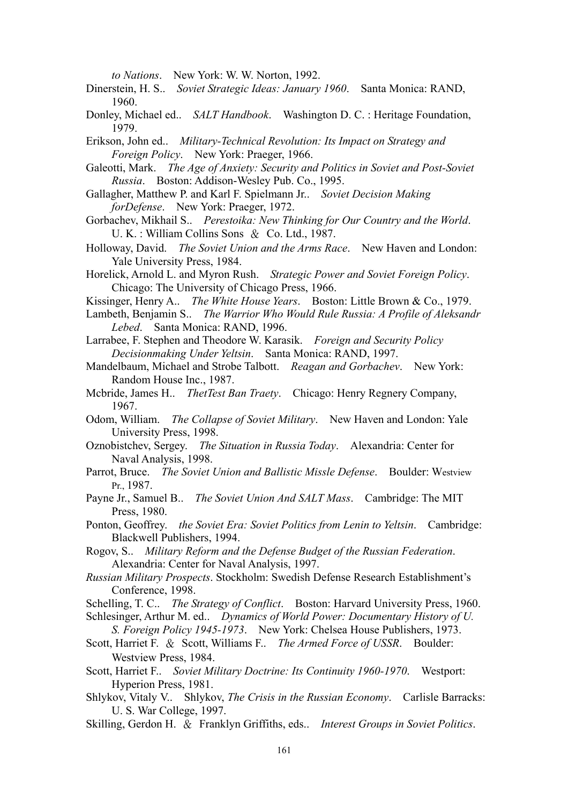*to Nations*. New York: W. W. Norton, 1992.

- Dinerstein, H. S.. *Soviet Strategic Ideas: January 1960*. Santa Monica: RAND, 1960.
- Donley, Michael ed.. *SALT Handbook*. Washington D. C. : Heritage Foundation, 1979.

Erikson, John ed.. *Military-Technical Revolution: Its Impact on Strategy and Foreign Policy*. New York: Praeger, 1966.

- Galeotti, Mark. *The Age of Anxiety: Security and Politics in Soviet and Post-Soviet Russia*. Boston: Addison-Wesley Pub. Co., 1995.
- Gallagher, Matthew P. and Karl F. Spielmann Jr.. *Soviet Decision Making forDefense*. New York: Praeger, 1972.
- Gorbachev, Mikhail S.. *Perestoika: New Thinking for Our Country and the World*. U. K. : William Collins Sons & Co. Ltd., 1987.
- Holloway, David. *The Soviet Union and the Arms Race*. New Haven and London: Yale University Press, 1984.
- Horelick, Arnold L. and Myron Rush. *Strategic Power and Soviet Foreign Policy*. Chicago: The University of Chicago Press, 1966.
- Kissinger, Henry A.. *The White House Years*. Boston: Little Brown & Co., 1979.
- Lambeth, Benjamin S.. *The Warrior Who Would Rule Russia: A Profile of Aleksandr Lebed*. Santa Monica: RAND, 1996.
- Larrabee, F. Stephen and Theodore W. Karasik. *Foreign and Security Policy Decisionmaking Under Yeltsin*. Santa Monica: RAND, 1997.
- Mandelbaum, Michael and Strobe Talbott. *Reagan and Gorbachev*. New York: Random House Inc., 1987.
- Mcbride, James H.. *ThetTest Ban Traety*. Chicago: Henry Regnery Company, 1967.
- Odom, William. *The Collapse of Soviet Military*. New Haven and London: Yale University Press, 1998.
- Oznobistchev, Sergey. *The Situation in Russia Today*. Alexandria: Center for Naval Analysis, 1998.
- Parrot, Bruce. *The Soviet Union and Ballistic Missle Defense*. Boulder: Westview Pr., 1987.
- Payne Jr., Samuel B.. *The Soviet Union And SALT Mass*. Cambridge: The MIT Press, 1980.
- Ponton, Geoffrey. *the Soviet Era: Soviet Politics from Lenin to Yeltsin*. Cambridge: Blackwell Publishers, 1994.

Rogov, S.. *Military Reform and the Defense Budget of the Russian Federation*. Alexandria: Center for Naval Analysis, 1997.

- *Russian Military Prospects*. Stockholm: Swedish Defense Research Establishment's Conference, 1998.
- Schelling, T. C.. *The Strategy of Conflict*. Boston: Harvard University Press, 1960.
- Schlesinger, Arthur M. ed.. *Dynamics of World Power: Documentary History of U. S. Foreign Policy 1945-1973*. New York: Chelsea House Publishers, 1973.
- Scott, Harriet F. & Scott, Williams F.. *The Armed Force of USSR*. Boulder: Westview Press, 1984.
- Scott, Harriet F.. *Soviet Military Doctrine: Its Continuity 1960-1970*. Westport: Hyperion Press, 1981.
- Shlykov, Vitaly V.. Shlykov, *The Crisis in the Russian Economy*. Carlisle Barracks: U. S. War College, 1997.
- Skilling, Gerdon H. & Franklyn Griffiths, eds.. *Interest Groups in Soviet Politics*.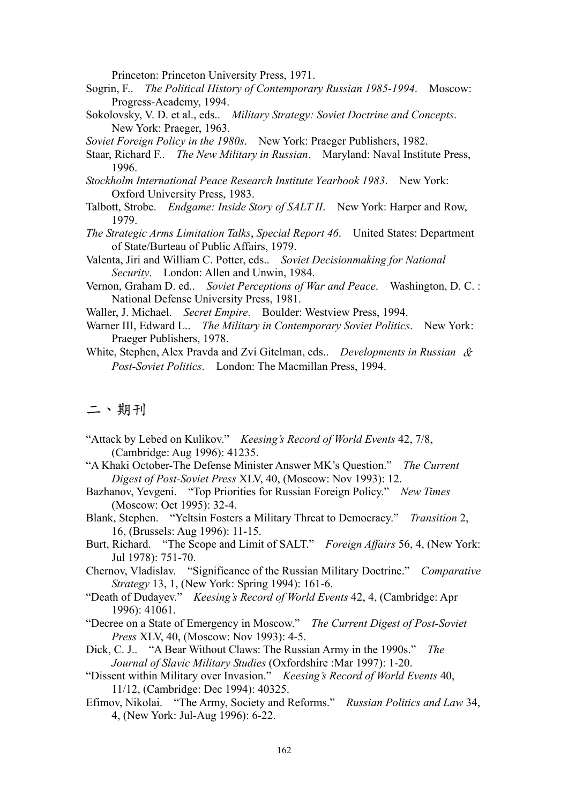Princeton: Princeton University Press, 1971.

- Sogrin, F.. *The Political History of Contemporary Russian 1985-1994*. Moscow: Progress-Academy, 1994.
- Sokolovsky, V. D. et al., eds.. *Military Strategy: Soviet Doctrine and Concepts*. New York: Praeger, 1963.

- Staar, Richard F.. *The New Military in Russian*. Maryland: Naval Institute Press, 1996.
- *Stockholm International Peace Research Institute Yearbook 1983*. New York: Oxford University Press, 1983.
- Talbott, Strobe. *Endgame: Inside Story of SALT II*. New York: Harper and Row, 1979.
- *The Strategic Arms Limitation Talks*, *Special Report 46*. United States: Department of State/Burteau of Public Affairs, 1979.
- Valenta, Jiri and William C. Potter, eds.. *Soviet Decisionmaking for National Security*. London: Allen and Unwin, 1984.
- Vernon, Graham D. ed.. *Soviet Perceptions of War and Peace*. Washington, D. C. : National Defense University Press, 1981.
- Waller, J. Michael. *Secret Empire*. Boulder: Westview Press, 1994.
- Warner III, Edward L.. *The Military in Contemporary Soviet Politics*. New York: Praeger Publishers, 1978.
- White, Stephen, Alex Pravda and Zvi Gitelman, eds.. *Developments in Russian* & *Post-Soviet Politics*. London: The Macmillan Press, 1994.

#### 二、期刊

- "Attack by Lebed on Kulikov." *Keesing's Record of World Events* 42, 7/8, (Cambridge: Aug 1996): 41235.
- "A Khaki October-The Defense Minister Answer MK's Question." *The Current Digest of Post-Soviet Press* XLV, 40, (Moscow: Nov 1993): 12.
- Bazhanov, Yevgeni. "Top Priorities for Russian Foreign Policy." *New Times* (Moscow: Oct 1995): 32-4.
- Blank, Stephen. "Yeltsin Fosters a Military Threat to Democracy." *Transition* 2, 16, (Brussels: Aug 1996): 11-15.
- Burt, Richard. "The Scope and Limit of SALT." *Foreign Affairs* 56, 4, (New York: Jul 1978): 751-70.
- Chernov, Vladislav. "Significance of the Russian Military Doctrine." *Comparative Strategy* 13, 1, (New York: Spring 1994): 161-6.
- "Death of Dudayev." *Keesing's Record of World Events* 42, 4, (Cambridge: Apr 1996): 41061.
- "Decree on a State of Emergency in Moscow." *The Current Digest of Post-Soviet Press* XLV, 40, (Moscow: Nov 1993): 4-5.
- Dick, C. J.. "A Bear Without Claws: The Russian Army in the 1990s." *The Journal of Slavic Military Studies* (Oxfordshire :Mar 1997): 1-20.
- "Dissent within Military over Invasion." *Keesing's Record of World Events* 40, 11/12, (Cambridge: Dec 1994): 40325.
- Efimov, Nikolai. "The Army, Society and Reforms." *Russian Politics and Law* 34, 4, (New York: Jul-Aug 1996): 6-22.

*Soviet Foreign Policy in the 1980s*. New York: Praeger Publishers, 1982.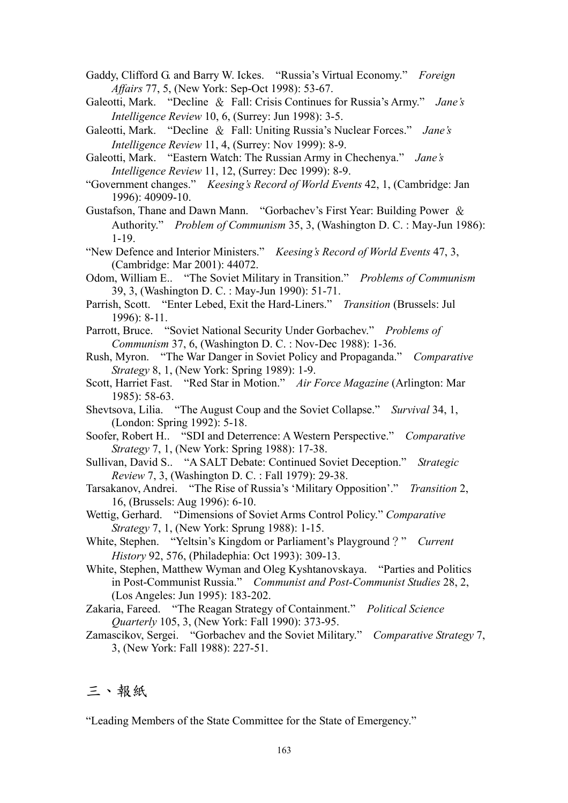Gaddy, Clifford G. and Barry W. Ickes. "Russia's Virtual Economy." *Foreign Affairs* 77, 5, (New York: Sep-Oct 1998): 53-67.

Galeotti, Mark. "Decline & Fall: Crisis Continues for Russia's Army." *Jane's Intelligence Review* 10, 6, (Surrey: Jun 1998): 3-5.

Galeotti, Mark. "Decline & Fall: Uniting Russia's Nuclear Forces." *Jane's Intelligence Review* 11, 4, (Surrey: Nov 1999): 8-9.

Galeotti, Mark. "Eastern Watch: The Russian Army in Chechenya." *Jane's Intelligence Review* 11, 12, (Surrey: Dec 1999): 8-9.

"Government changes." *Keesing's Record of World Events* 42, 1, (Cambridge: Jan 1996): 40909-10.

Gustafson, Thane and Dawn Mann. "Gorbachev's First Year: Building Power & Authority." *Problem of Communism* 35, 3, (Washington D. C. : May-Jun 1986): 1-19.

"New Defence and Interior Ministers." *Keesing's Record of World Events* 47, 3, (Cambridge: Mar 2001): 44072.

Odom, William E.. "The Soviet Military in Transition." *Problems of Communism* 39, 3, (Washington D. C. : May-Jun 1990): 51-71.

Parrish, Scott. "Enter Lebed, Exit the Hard-Liners." *Transition* (Brussels: Jul 1996): 8-11.

Parrott, Bruce. "Soviet National Security Under Gorbachev." *Problems of Communism* 37, 6, (Washington D. C. : Nov-Dec 1988): 1-36.

Rush, Myron. "The War Danger in Soviet Policy and Propaganda." *Comparative Strategy* 8, 1, (New York: Spring 1989): 1-9.

Scott, Harriet Fast. "Red Star in Motion." *Air Force Magazine* (Arlington: Mar 1985): 58-63.

Shevtsova, Lilia. "The August Coup and the Soviet Collapse." *Survival* 34, 1, (London: Spring 1992): 5-18.

Soofer, Robert H.. "SDI and Deterrence: A Western Perspective." *Comparative Strategy* 7, 1, (New York: Spring 1988): 17-38.

Sullivan, David S.. "A SALT Debate: Continued Soviet Deception." *Strategic Review* 7, 3, (Washington D. C. : Fall 1979): 29-38.

Tarsakanov, Andrei. "The Rise of Russia's 'Military Opposition'." *Transition* 2, 16, (Brussels: Aug 1996): 6-10.

Wettig, Gerhard. "Dimensions of Soviet Arms Control Policy." *Comparative Strategy* 7, 1, (New York: Sprung 1988): 1-15.

White, Stephen. "Yeltsin's Kingdom or Parliament's Playground?" *Current History* 92, 576, (Philadephia: Oct 1993): 309-13.

White, Stephen, Matthew Wyman and Oleg Kyshtanovskaya. "Parties and Politics in Post-Communist Russia." *Communist and Post-Communist Studies* 28, 2, (Los Angeles: Jun 1995): 183-202.

Zakaria, Fareed. "The Reagan Strategy of Containment." *Political Science Quarterly* 105, 3, (New York: Fall 1990): 373-95.

Zamascikov, Sergei. "Gorbachev and the Soviet Military." *Comparative Strategy* 7, 3, (New York: Fall 1988): 227-51.

### 三、報紙

"Leading Members of the State Committee for the State of Emergency."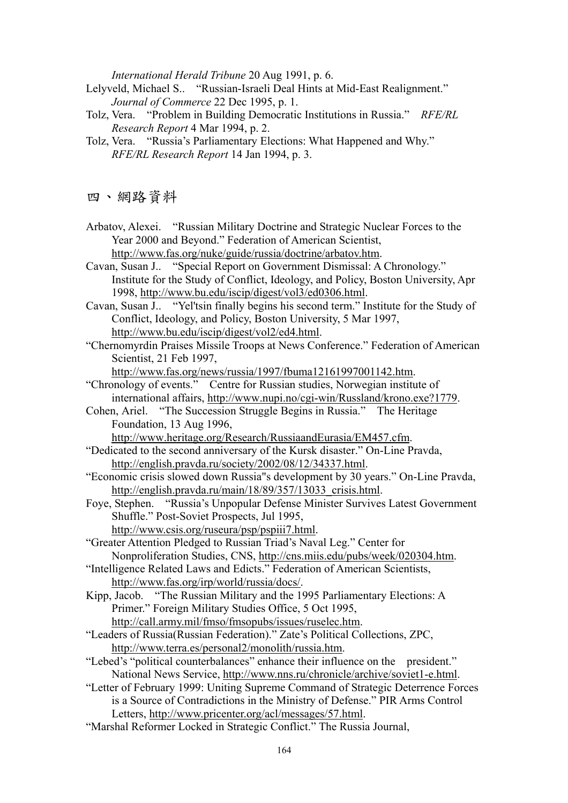*International Herald Tribune* 20 Aug 1991, p. 6.

Lelyveld, Michael S.. "Russian-Israeli Deal Hints at Mid-East Realignment." *Journal of Commerce* 22 Dec 1995, p. 1.

- Tolz, Vera. "Problem in Building Democratic Institutions in Russia." *RFE/RL Research Report* 4 Mar 1994, p. 2.
- Tolz, Vera. "Russia's Parliamentary Elections: What Happened and Why." *RFE/RL Research Report* 14 Jan 1994, p. 3.

四、網路資料

Arbatov, Alexei. "Russian Military Doctrine and Strategic Nuclear Forces to the Year 2000 and Beyond." Federation of American Scientist, http://www.fas.org/nuke/guide/russia/doctrine/arbatov.htm.

Cavan, Susan J.. "Special Report on Government Dismissal: A Chronology." Institute for the Study of Conflict, Ideology, and Policy, Boston University, Apr 1998, http://www.bu.edu/iscip/digest/vol3/ed0306.html.

Cavan, Susan J.. "Yel'tsin finally begins his second term." Institute for the Study of Conflict, Ideology, and Policy, Boston University, 5 Mar 1997, http://www.bu.edu/iscip/digest/vol2/ed4.html.

"Chernomyrdin Praises Missile Troops at News Conference." Federation of American Scientist, 21 Feb 1997,

http://www.fas.org/news/russia/1997/fbuma12161997001142.htm.

- "Chronology of events." Centre for Russian studies, Norwegian institute of international affairs, http://www.nupi.no/cgi-win/Russland/krono.exe?1779.
- Cohen, Ariel. "The Succession Struggle Begins in Russia." The Heritage Foundation, 13 Aug 1996,

http://www.heritage.org/Research/RussiaandEurasia/EM457.cfm.

- "Dedicated to the second anniversary of the Kursk disaster." On-Line Pravda, http://english.pravda.ru/society/2002/08/12/34337.html.
- "Economic crisis slowed down Russia"s development by 30 years." On-Line Pravda, http://english.pravda.ru/main/18/89/357/13033\_crisis.html.
- Foye, Stephen. "Russia's Unpopular Defense Minister Survives Latest Government Shuffle." Post-Soviet Prospects, Jul 1995,
	- http://www.csis.org/ruseura/psp/pspiii7.html.
- "Greater Attention Pledged to Russian Triad's Naval Leg." Center for Nonproliferation Studies, CNS, http://cns.miis.edu/pubs/week/020304.htm.
- "Intelligence Related Laws and Edicts." Federation of American Scientists,
- http://www.fas.org/irp/world/russia/docs/.
- Kipp, Jacob. "The Russian Military and the 1995 Parliamentary Elections: A Primer." Foreign Military Studies Office, 5 Oct 1995, http://call.army.mil/fmso/fmsopubs/issues/ruselec.htm.
- "Leaders of Russia(Russian Federation)." Zate's Political Collections, ZPC, http://www.terra.es/personal2/monolith/russia.htm.
- "Lebed's "political counterbalances" enhance their influence on the president." National News Service, http://www.nns.ru/chronicle/archive/soviet1-e.html.
- "Letter of February 1999: Uniting Supreme Command of Strategic Deterrence Forces is a Source of Contradictions in the Ministry of Defense." PIR Arms Control Letters, http://www.pricenter.org/acl/messages/57.html.
- "Marshal Reformer Locked in Strategic Conflict." The Russia Journal,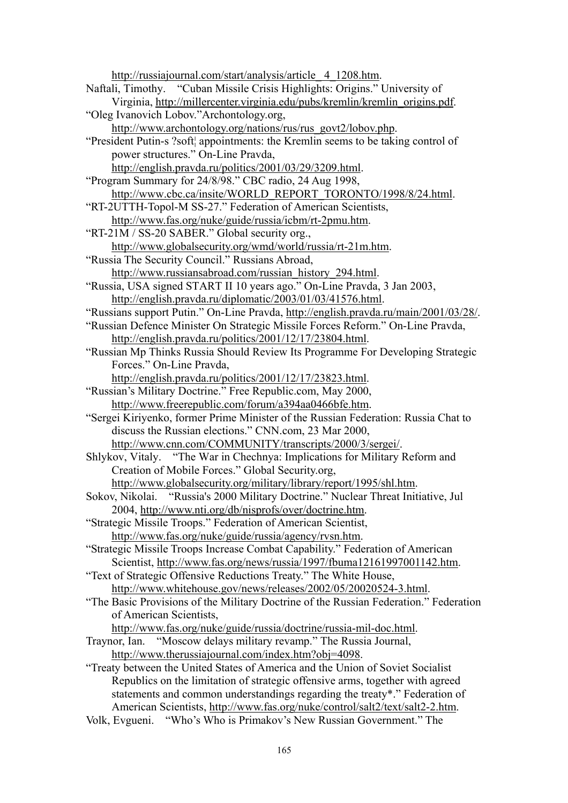http://russiajournal.com/start/analysis/article\_ 4\_1208.htm. Naftali, Timothy. "Cuban Missile Crisis Highlights: Origins." University of Virginia, http://millercenter.virginia.edu/pubs/kremlin/kremlin\_origins.pdf. "Oleg Ivanovich Lobov."Archontology.org, http://www.archontology.org/nations/rus/rus\_govt2/lobov.php. "President Putin-s ?soft¦ appointments: the Kremlin seems to be taking control of power structures." On-Line Pravda, http://english.pravda.ru/politics/2001/03/29/3209.html. "Program Summary for 24/8/98." CBC radio, 24 Aug 1998, http://www.cbc.ca/insite/WORLD\_REPORT\_TORONTO/1998/8/24.html. "RT-2UTTH-Topol-M SS-27." Federation of American Scientists, http://www.fas.org/nuke/guide/russia/icbm/rt-2pmu.htm. "RT-21M / SS-20 SABER." Global security org., http://www.globalsecurity.org/wmd/world/russia/rt-21m.htm. "Russia The Security Council." Russians Abroad, http://www.russiansabroad.com/russian\_history\_294.html. "Russia, USA signed START II 10 years ago." On-Line Pravda, 3 Jan 2003, http://english.pravda.ru/diplomatic/2003/01/03/41576.html. "Russians support Putin." On-Line Pravda, http://english.pravda.ru/main/2001/03/28/. "Russian Defence Minister On Strategic Missile Forces Reform." On-Line Pravda, http://english.pravda.ru/politics/2001/12/17/23804.html. "Russian Mp Thinks Russia Should Review Its Programme For Developing Strategic Forces." On-Line Pravda, http://english.pravda.ru/politics/2001/12/17/23823.html. "Russian's Military Doctrine." Free Republic.com, May 2000, http://www.freerepublic.com/forum/a394aa0466bfe.htm. "Sergei Kiriyenko, former Prime Minister of the Russian Federation: Russia Chat to discuss the Russian elections." CNN.com, 23 Mar 2000, http://www.cnn.com/COMMUNITY/transcripts/2000/3/sergei/. Shlykov, Vitaly. "The War in Chechnya: Implications for Military Reform and Creation of Mobile Forces." Global Security.org, http://www.globalsecurity.org/military/library/report/1995/shl.htm. Sokov, Nikolai. "Russia's 2000 Military Doctrine." Nuclear Threat Initiative, Jul 2004, http://www.nti.org/db/nisprofs/over/doctrine.htm. "Strategic Missile Troops." Federation of American Scientist, http://www.fas.org/nuke/guide/russia/agency/rvsn.htm. "Strategic Missile Troops Increase Combat Capability." Federation of American Scientist, http://www.fas.org/news/russia/1997/fbuma12161997001142.htm. "Text of Strategic Offensive Reductions Treaty." The White House, http://www.whitehouse.gov/news/releases/2002/05/20020524-3.html. "The Basic Provisions of the Military Doctrine of the Russian Federation." Federation of American Scientists, http://www.fas.org/nuke/guide/russia/doctrine/russia-mil-doc.html. Traynor, Ian. "Moscow delays military revamp." The Russia Journal, http://www.therussiajournal.com/index.htm?obj=4098. "Treaty between the United States of America and the Union of Soviet Socialist Republics on the limitation of strategic offensive arms, together with agreed statements and common understandings regarding the treaty\*." Federation of American Scientists, http://www.fas.org/nuke/control/salt2/text/salt2-2.htm.

Volk, Evgueni. "Who's Who is Primakov's New Russian Government." The